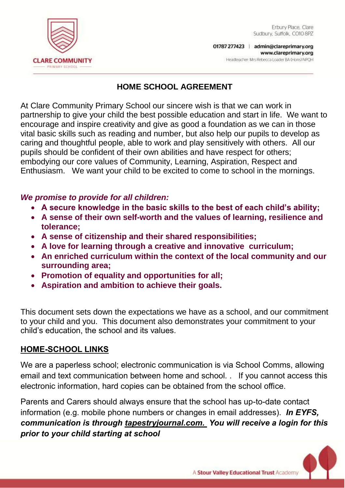

## **HOME SCHOOL AGREEMENT**

At Clare Community Primary School our sincere wish is that we can work in partnership to give your child the best possible education and start in life. We want to encourage and inspire creativity and give as good a foundation as we can in those vital basic skills such as reading and number, but also help our pupils to develop as caring and thoughtful people, able to work and play sensitively with others. All our pupils should be confident of their own abilities and have respect for others; embodying our core values of Community, Learning, Aspiration, Respect and Enthusiasm. We want your child to be excited to come to school in the mornings.

### *We promise to provide for all children:*

- **A secure knowledge in the basic skills to the best of each child's ability;**
- **A sense of their own self-worth and the values of learning, resilience and tolerance;**
- **A sense of citizenship and their shared responsibilities;**
- **A love for learning through a creative and innovative curriculum;**
- **An enriched curriculum within the context of the local community and our surrounding area;**
- **Promotion of equality and opportunities for all;**
- **Aspiration and ambition to achieve their goals.**

This document sets down the expectations we have as a school, and our commitment to your child and you. This document also demonstrates your commitment to your child's education, the school and its values.

# **HOME-SCHOOL LINKS**

We are a paperless school; electronic communication is via School Comms, allowing email and text communication between home and school. . If you cannot access this electronic information, hard copies can be obtained from the school office.

Parents and Carers should always ensure that the school has up-to-date contact information (e.g. mobile phone numbers or changes in email addresses). *In EYFS, communication is through tapestryjournal.com. You will receive a login for this prior to your child starting at school*

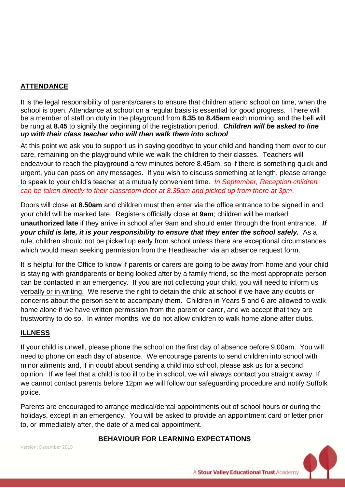### **ATTENDANCE**

It is the legal responsibility of parents/carers to ensure that children attend school on time, when the school is open. Attendance at school on a regular basis is essential for good progress. There will be a member of staff on duty in the playground from **8.35 to 8.45am** each morning, and the bell will be rung at **8.45** to signify the beginning of the registration period. *Children will be asked to line up with their class teacher who will then walk them into school*

At this point we ask you to support us in saying goodbye to your child and handing them over to our care, remaining on the playground while we walk the children to their classes. Teachers will endeavour to reach the playground a few minutes before 8.45am, so if there is something quick and urgent, you can pass on any messages. If you wish to discuss something at length, please arrange to speak to your child's teacher at a mutually convenient time. *In September, Reception children can be taken directly to their classroom door at 8.35am and picked up from there at 3pm*.

Doors will close at **8.50am** and children must then enter via the office entrance to be signed in and your child will be marked late. Registers officially close at **9am**; children will be marked **unauthorized late** if they arrive in school after 9am and should enter through the front entrance. *If your child is late, it is your responsibility to ensure that they enter the school safely.* As a rule, children should not be picked up early from school unless there are exceptional circumstances which would mean seeking permission from the Headteacher via an absence request form.

It is helpful for the Office to know if parents or carers are going to be away from home and your child is staying with grandparents or being looked after by a family friend, so the most appropriate person can be contacted in an emergency. If you are not collecting your child, you will need to inform us verbally or in writing. We reserve the right to detain the child at school if we have any doubts or concerns about the person sent to accompany them. Children in Years 5 and 6 are allowed to walk home alone if we have written permission from the parent or carer, and we accept that they are trustworthy to do so. In winter months, we do not allow children to walk home alone after clubs.

### **ILLNESS**

If your child is unwell, please phone the school on the first day of absence before 9.00am. You will need to phone on each day of absence. We encourage parents to send children into school with minor ailments and, if in doubt about sending a child into school, please ask us for a second opinion. If we feel that a child is too ill to be in school, we will always contact you straight away. If we cannot contact parents before 12pm we will follow our safeguarding procedure and notify Suffolk police.

Parents are encouraged to arrange medical/dental appointments out of school hours or during the holidays, except in an emergency. You will be asked to provide an appointment card or letter prior to, or immediately after, the date of a medical appointment.

#### **BEHAVIOUR FOR LEARNING EXPECTATIONS**